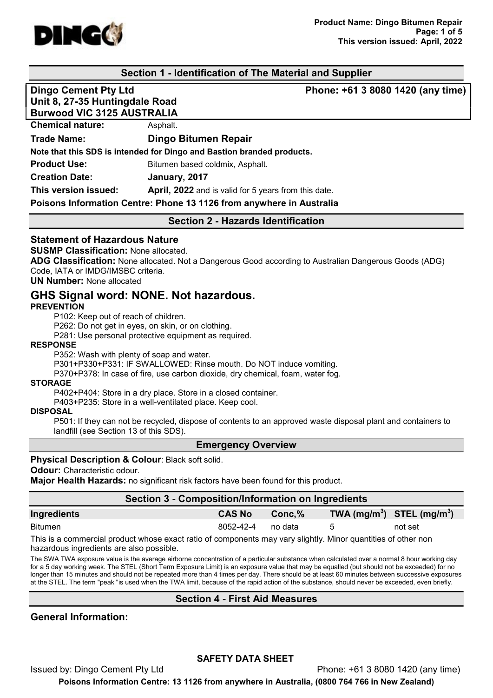

## Section 1 - Identification of The Material and Supplier

Dingo Cement Pty Ltd **Phone: +61 3 8080 1420 (any time)** Unit 8, 27-35 Huntingdale Road Burwood VIC 3125 AUSTRALIA Chemical nature: Asphalt. Trade Name: Dingo Bitumen Repair Note that this SDS is intended for Dingo and Bastion branded products. **Product Use:** Bitumen based coldmix, Asphalt. Creation Date: January, 2017 This version issued: April, 2022 and is valid for 5 years from this date. Poisons Information Centre: Phone 13 1126 from anywhere in Australia

#### Section 2 - Hazards Identification

#### Statement of Hazardous Nature

SUSMP Classification: None allocated.

ADG Classification: None allocated. Not a Dangerous Good according to Australian Dangerous Goods (ADG) Code, IATA or IMDG/IMSBC criteria.

UN Number: None allocated

# GHS Signal word: NONE. Not hazardous.

#### **PREVENTION**

P102: Keep out of reach of children.

P262: Do not get in eyes, on skin, or on clothing.

P281: Use personal protective equipment as required.

#### RESPONSE

P352: Wash with plenty of soap and water.

P301+P330+P331: IF SWALLOWED: Rinse mouth. Do NOT induce vomiting.

P370+P378: In case of fire, use carbon dioxide, dry chemical, foam, water fog.

#### STORAGE

P402+P404: Store in a dry place. Store in a closed container.

P403+P235: Store in a well-ventilated place. Keep cool.

#### DISPOSAL

P501: If they can not be recycled, dispose of contents to an approved waste disposal plant and containers to landfill (see Section 13 of this SDS).

#### Emergency Overview

#### **Physical Description & Colour: Black soft solid.**

**Odour:** Characteristic odour.

Major Health Hazards: no significant risk factors have been found for this product.

## Section 3 - Composition/Information on Ingredients

| Ingredients    | <b>CAS No</b> | $Conc.\%$ | TWA (mg/m <sup>3</sup> ) STEL (mg/m <sup>3</sup> ) |         |
|----------------|---------------|-----------|----------------------------------------------------|---------|
| <b>Bitumen</b> | 8052-42-4     | no data   |                                                    | not set |

This is a commercial product whose exact ratio of components may vary slightly. Minor quantities of other non hazardous ingredients are also possible.

The SWA TWA exposure value is the average airborne concentration of a particular substance when calculated over a normal 8 hour working day for a 5 day working week. The STEL (Short Term Exposure Limit) is an exposure value that may be equalled (but should not be exceeded) for no longer than 15 minutes and should not be repeated more than 4 times per day. There should be at least 60 minutes between successive exposures at the STEL. The term "peak "is used when the TWA limit, because of the rapid action of the substance, should never be exceeded, even briefly.

## Section 4 - First Aid Measures

General Information:

## SAFETY DATA SHEET

Issued by: Dingo Cement Pty Ltd Phone: +61 3 8080 1420 (any time)

Poisons Information Centre: 13 1126 from anywhere in Australia, (0800 764 766 in New Zealand)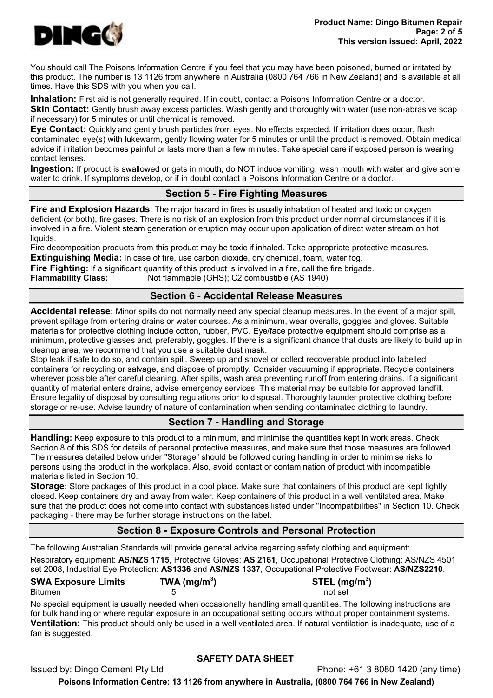

You should call The Poisons Information Centre if you feel that you may have been poisoned, burned or irritated by this product. The number is 13 1126 from anywhere in Australia (0800 764 766 in New Zealand) and is available at all times. Have this SDS with you when you call.

Inhalation: First aid is not generally required. If in doubt, contact a Poisons Information Centre or a doctor.

Skin Contact: Gently brush away excess particles. Wash gently and thoroughly with water (use non-abrasive soap if necessary) for 5 minutes or until chemical is removed.

Eye Contact: Quickly and gently brush particles from eyes. No effects expected. If irritation does occur, flush contaminated eye(s) with lukewarm, gently flowing water for 5 minutes or until the product is removed. Obtain medical advice if irritation becomes painful or lasts more than a few minutes. Take special care if exposed person is wearing contact lenses.

**Ingestion:** If product is swallowed or gets in mouth, do NOT induce vomiting; wash mouth with water and give some water to drink. If symptoms develop, or if in doubt contact a Poisons Information Centre or a doctor.

# Section 5 - Fire Fighting Measures

Fire and Explosion Hazards: The major hazard in fires is usually inhalation of heated and toxic or oxygen deficient (or both), fire gases. There is no risk of an explosion from this product under normal circumstances if it is involved in a fire. Violent steam generation or eruption may occur upon application of direct water stream on hot liquids.

Fire decomposition products from this product may be toxic if inhaled. Take appropriate protective measures. **Extinguishing Media:** In case of fire, use carbon dioxide, dry chemical, foam, water fog.

Fire Fighting: If a significant quantity of this product is involved in a fire, call the fire brigade.

Flammability Class: Not flammable (GHS); C2 combustible (AS 1940)

# Section 6 - Accidental Release Measures

Accidental release: Minor spills do not normally need any special cleanup measures. In the event of a major spill, prevent spillage from entering drains or water courses. As a minimum, wear overalls, goggles and gloves. Suitable materials for protective clothing include cotton, rubber, PVC. Eye/face protective equipment should comprise as a minimum, protective glasses and, preferably, goggles. If there is a significant chance that dusts are likely to build up in cleanup area, we recommend that you use a suitable dust mask.

Stop leak if safe to do so, and contain spill. Sweep up and shovel or collect recoverable product into labelled containers for recycling or salvage, and dispose of promptly. Consider vacuuming if appropriate. Recycle containers wherever possible after careful cleaning. After spills, wash area preventing runoff from entering drains. If a significant quantity of material enters drains, advise emergency services. This material may be suitable for approved landfill. Ensure legality of disposal by consulting regulations prior to disposal. Thoroughly launder protective clothing before storage or re-use. Advise laundry of nature of contamination when sending contaminated clothing to laundry.

# Section 7 - Handling and Storage

Handling: Keep exposure to this product to a minimum, and minimise the quantities kept in work areas. Check Section 8 of this SDS for details of personal protective measures, and make sure that those measures are followed. The measures detailed below under "Storage" should be followed during handling in order to minimise risks to persons using the product in the workplace. Also, avoid contact or contamination of product with incompatible materials listed in Section 10.

Storage: Store packages of this product in a cool place. Make sure that containers of this product are kept tightly closed. Keep containers dry and away from water. Keep containers of this product in a well ventilated area. Make sure that the product does not come into contact with substances listed under "Incompatibilities" in Section 10. Check packaging - there may be further storage instructions on the label.

# Section 8 - Exposure Controls and Personal Protection

The following Australian Standards will provide general advice regarding safety clothing and equipment: Respiratory equipment: AS/NZS 1715, Protective Gloves: AS 2161, Occupational Protective Clothing: AS/NZS 4501 set 2008, Industrial Eye Protection: AS1336 and AS/NZS 1337, Occupational Protective Footwear: AS/NZS2210.

| <b>SWA Exposure Limits</b> | TWA (mg/m <sup>3</sup> ) | STEL (mg/m <sup>3</sup> ) |
|----------------------------|--------------------------|---------------------------|
| <b>Bitumen</b>             |                          | not set                   |

No special equipment is usually needed when occasionally handling small quantities. The following instructions are for bulk handling or where regular exposure in an occupational setting occurs without proper containment systems. Ventilation: This product should only be used in a well ventilated area. If natural ventilation is inadequate, use of a fan is suggested.

# SAFETY DATA SHEET

Issued by: Dingo Cement Pty Ltd Phone: +61 3 8080 1420 (any time) Poisons Information Centre: 13 1126 from anywhere in Australia, (0800 764 766 in New Zealand)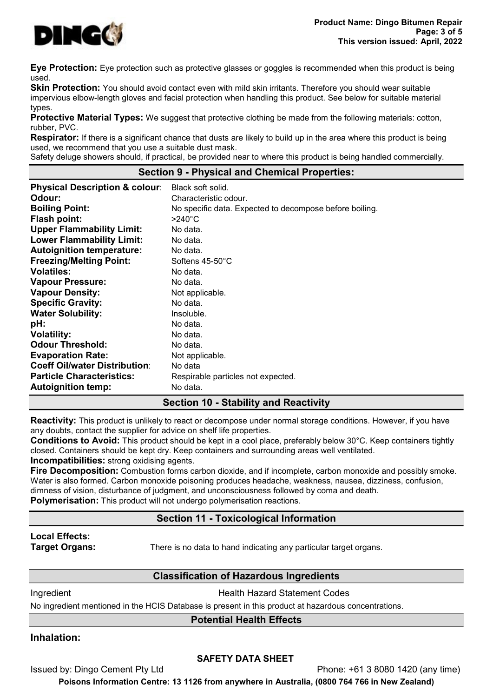

Eye Protection: Eye protection such as protective glasses or goggles is recommended when this product is being used.

**Skin Protection:** You should avoid contact even with mild skin irritants. Therefore you should wear suitable impervious elbow-length gloves and facial protection when handling this product. See below for suitable material types.

**Protective Material Types:** We suggest that protective clothing be made from the following materials: cotton, rubber, PVC.

**Respirator:** If there is a significant chance that dusts are likely to build up in the area where this product is being used, we recommend that you use a suitable dust mask.

Safety deluge showers should, if practical, be provided near to where this product is being handled commercially.

#### Section 9 - Physical and Chemical Properties:

| <b>Physical Description &amp; colour:</b> | Black soft solid.                                       |
|-------------------------------------------|---------------------------------------------------------|
| Odour:                                    | Characteristic odour.                                   |
| <b>Boiling Point:</b>                     | No specific data. Expected to decompose before boiling. |
| <b>Flash point:</b>                       | $>240^{\circ}$ C                                        |
| <b>Upper Flammability Limit:</b>          | No data.                                                |
| <b>Lower Flammability Limit:</b>          | No data.                                                |
| <b>Autoignition temperature:</b>          | No data.                                                |
| <b>Freezing/Melting Point:</b>            | Softens $45-50^{\circ}$ C                               |
| <b>Volatiles:</b>                         | No data.                                                |
| <b>Vapour Pressure:</b>                   | No data.                                                |
| <b>Vapour Density:</b>                    | Not applicable.                                         |
| <b>Specific Gravity:</b>                  | No data.                                                |
| <b>Water Solubility:</b>                  | Insoluble.                                              |
| pH:                                       | No data.                                                |
| <b>Volatility:</b>                        | No data.                                                |
| <b>Odour Threshold:</b>                   | No data.                                                |
| <b>Evaporation Rate:</b>                  | Not applicable.                                         |
| <b>Coeff Oil/water Distribution:</b>      | No data                                                 |
| <b>Particle Characteristics:</b>          | Respirable particles not expected.                      |
| <b>Autoignition temp:</b>                 | No data.                                                |

## Section 10 - Stability and Reactivity

Reactivity: This product is unlikely to react or decompose under normal storage conditions. However, if you have any doubts, contact the supplier for advice on shelf life properties.

Conditions to Avoid: This product should be kept in a cool place, preferably below 30°C. Keep containers tightly closed. Containers should be kept dry. Keep containers and surrounding areas well ventilated. Incompatibilities: strong oxidising agents.

Fire Decomposition: Combustion forms carbon dioxide, and if incomplete, carbon monoxide and possibly smoke. Water is also formed. Carbon monoxide poisoning produces headache, weakness, nausea, dizziness, confusion, dimness of vision, disturbance of judgment, and unconsciousness followed by coma and death. **Polymerisation:** This product will not undergo polymerisation reactions.

# Section 11 - Toxicological Information

# Local Effects:

**Target Organs:** There is no data to hand indicating any particular target organs.

# Classification of Hazardous Ingredients

**Ingredient Health Hazard Statement Codes** 

No ingredient mentioned in the HCIS Database is present in this product at hazardous concentrations.

# Potential Health Effects

# Inhalation:

## SAFETY DATA SHEET

Issued by: Dingo Cement Pty Ltd Phone: +61 3 8080 1420 (any time)

Poisons Information Centre: 13 1126 from anywhere in Australia, (0800 764 766 in New Zealand)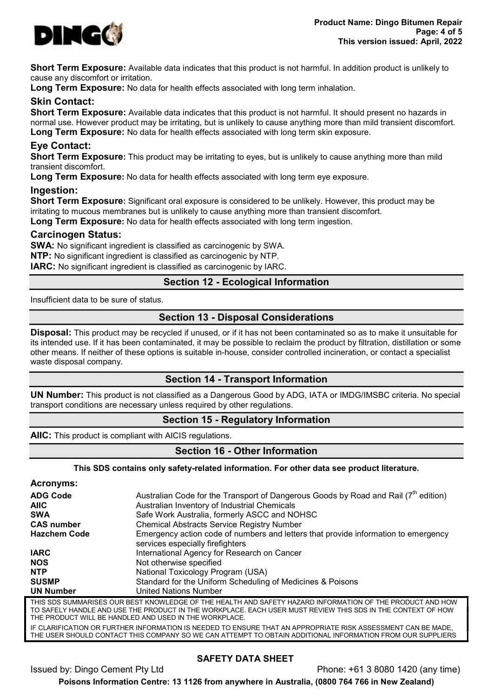

Short Term Exposure: Available data indicates that this product is not harmful. In addition product is unlikely to cause any discomfort or irritation.

**Long Term Exposure:** No data for health effects associated with long term inhalation.

# Skin Contact:

Short Term Exposure: Available data indicates that this product is not harmful. It should present no hazards in normal use. However product may be irritating, but is unlikely to cause anything more than mild transient discomfort. Long Term Exposure: No data for health effects associated with long term skin exposure.

# Eye Contact:

Short Term Exposure: This product may be irritating to eyes, but is unlikely to cause anything more than mild transient discomfort.

Long Term Exposure: No data for health effects associated with long term eye exposure.

## Ingestion:

Short Term Exposure: Significant oral exposure is considered to be unlikely. However, this product may be irritating to mucous membranes but is unlikely to cause anything more than transient discomfort.

Long Term Exposure: No data for health effects associated with long term ingestion.

#### Carcinogen Status:

SWA: No significant ingredient is classified as carcinogenic by SWA. NTP: No significant ingredient is classified as carcinogenic by NTP. IARC: No significant ingredient is classified as carcinogenic by IARC.

# Section 12 - Ecological Information

Insufficient data to be sure of status.

## Section 13 - Disposal Considerations

Disposal: This product may be recycled if unused, or if it has not been contaminated so as to make it unsuitable for its intended use. If it has been contaminated, it may be possible to reclaim the product by filtration, distillation or some other means. If neither of these options is suitable in-house, consider controlled incineration, or contact a specialist waste disposal company.

## Section 14 - Transport Information

UN Number: This product is not classified as a Dangerous Good by ADG, IATA or IMDG/IMSBC criteria. No special transport conditions are necessary unless required by other regulations.

## Section 15 - Regulatory Information

AIIC: This product is compliant with AICIS regulations.

# Section 16 - Other Information

#### This SDS contains only safety-related information. For other data see product literature.

| <b>Acronyms:</b>    |                                                                                                                                                                                                                                                                                    |
|---------------------|------------------------------------------------------------------------------------------------------------------------------------------------------------------------------------------------------------------------------------------------------------------------------------|
| <b>ADG Code</b>     | Australian Code for the Transport of Dangerous Goods by Road and Rail $(7^{th}$ edition)                                                                                                                                                                                           |
| <b>AIIC</b>         | Australian Inventory of Industrial Chemicals                                                                                                                                                                                                                                       |
| <b>SWA</b>          | Safe Work Australia, formerly ASCC and NOHSC                                                                                                                                                                                                                                       |
| <b>CAS number</b>   | <b>Chemical Abstracts Service Registry Number</b>                                                                                                                                                                                                                                  |
| <b>Hazchem Code</b> | Emergency action code of numbers and letters that provide information to emergency<br>services especially firefighters                                                                                                                                                             |
| <b>IARC</b>         | International Agency for Research on Cancer                                                                                                                                                                                                                                        |
| <b>NOS</b>          | Not otherwise specified                                                                                                                                                                                                                                                            |
| <b>NTP</b>          | National Toxicology Program (USA)                                                                                                                                                                                                                                                  |
| <b>SUSMP</b>        | Standard for the Uniform Scheduling of Medicines & Poisons                                                                                                                                                                                                                         |
| <b>UN Number</b>    | <b>United Nations Number</b>                                                                                                                                                                                                                                                       |
|                     | THIS SDS SUMMARISES OUR BEST KNOWLEDGE OF THE HEALTH AND SAFETY HAZARD INFORMATION OF THE PRODUCT AND HOW<br>TO SAFELY HANDLE AND USE THE PRODUCT IN THE WORKPLACE. EACH USER MUST REVIEW THIS SDS IN THE CONTEXT OF HOW<br>THE PRODUCT WILL BE HANDLED AND USED IN THE WORKPLACE. |
|                     | IF CLARIFICATION OR FURTHER INFORMATION IS NEEDED TO ENSURE THAT AN APPROPRIATE RISK ASSESSMENT CAN BE MADE.                                                                                                                                                                       |

THE USER SHOULD CONTACT THIS COMPANY SO WE CAN ATTEMPT TO OBTAIN ADDITIONAL INFORMATION FROM OUR SUPPLIERS

# SAFETY DATA SHEET

Issued by: Dingo Cement Pty Ltd Phone: +61 3 8080 1420 (any time) Poisons Information Centre: 13 1126 from anywhere in Australia, (0800 764 766 in New Zealand)